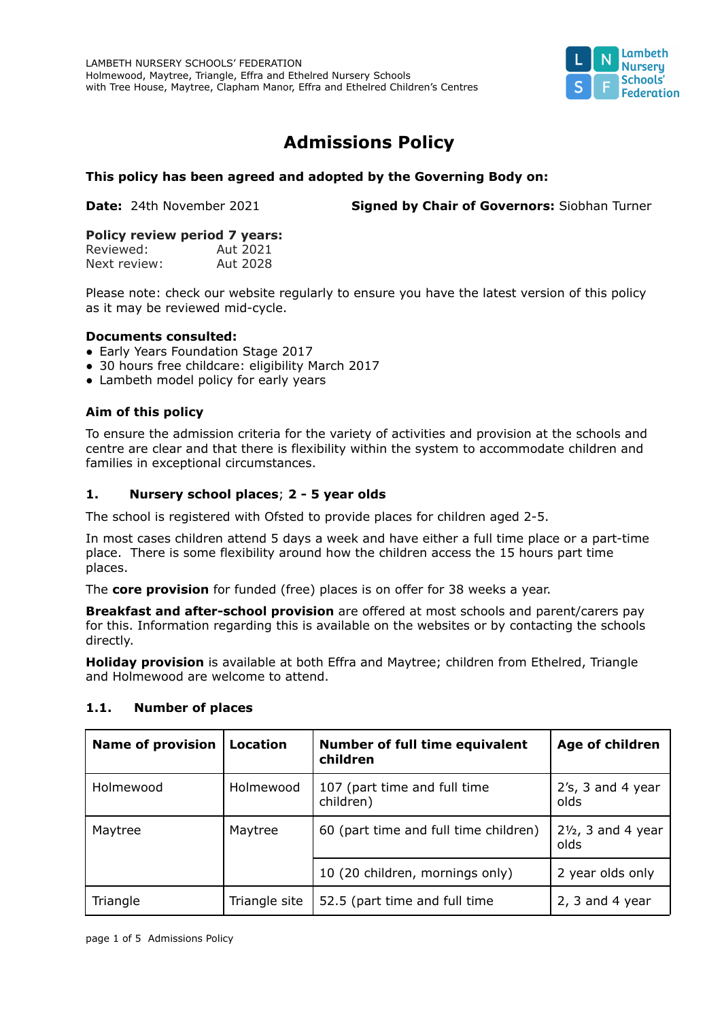

# **Admissions Policy**

## **This policy has been agreed and adopted by the Governing Body on:**

**Date:** 24th November 2021 **Signed by Chair of Governors:** Siobhan Turner

#### **Policy review period 7 years:**

| Reviewed:    | Aut 2021 |
|--------------|----------|
| Next review: | Aut 2028 |

Please note: check our website regularly to ensure you have the latest version of this policy as it may be reviewed mid-cycle.

#### **Documents consulted:**

- Early Years Foundation Stage 2017
- 30 hours free childcare: eligibility March 2017
- Lambeth model policy for early years

## **Aim of this policy**

To ensure the admission criteria for the variety of activities and provision at the schools and centre are clear and that there is flexibility within the system to accommodate children and families in exceptional circumstances.

## **1. Nursery school places**; **2 - 5 year olds**

The school is registered with Ofsted to provide places for children aged 2-5.

In most cases children attend 5 days a week and have either a full time place or a part-time place. There is some flexibility around how the children access the 15 hours part time places.

The **core provision** for funded (free) places is on offer for 38 weeks a year.

**Breakfast and after-school provision** are offered at most schools and parent/carers pay for this. Information regarding this is available on the websites or by contacting the schools directly.

**Holiday provision** is available at both Effra and Maytree; children from Ethelred, Triangle and Holmewood are welcome to attend.

| <b>Name of provision</b> | <b>Location</b> | <b>Number of full time equivalent</b><br>children | Age of children                       |
|--------------------------|-----------------|---------------------------------------------------|---------------------------------------|
| Holmewood                | Holmewood       | 107 (part time and full time<br>children)         | $2's$ , 3 and 4 year<br>olds          |
| Maytree                  | Maytree         | 60 (part time and full time children)             | $2\frac{1}{2}$ , 3 and 4 year<br>olds |
|                          |                 | 10 (20 children, mornings only)                   | 2 year olds only                      |
| Triangle                 | Triangle site   | 52.5 (part time and full time                     | $2, 3$ and 4 year                     |

## **1.1. Number of places**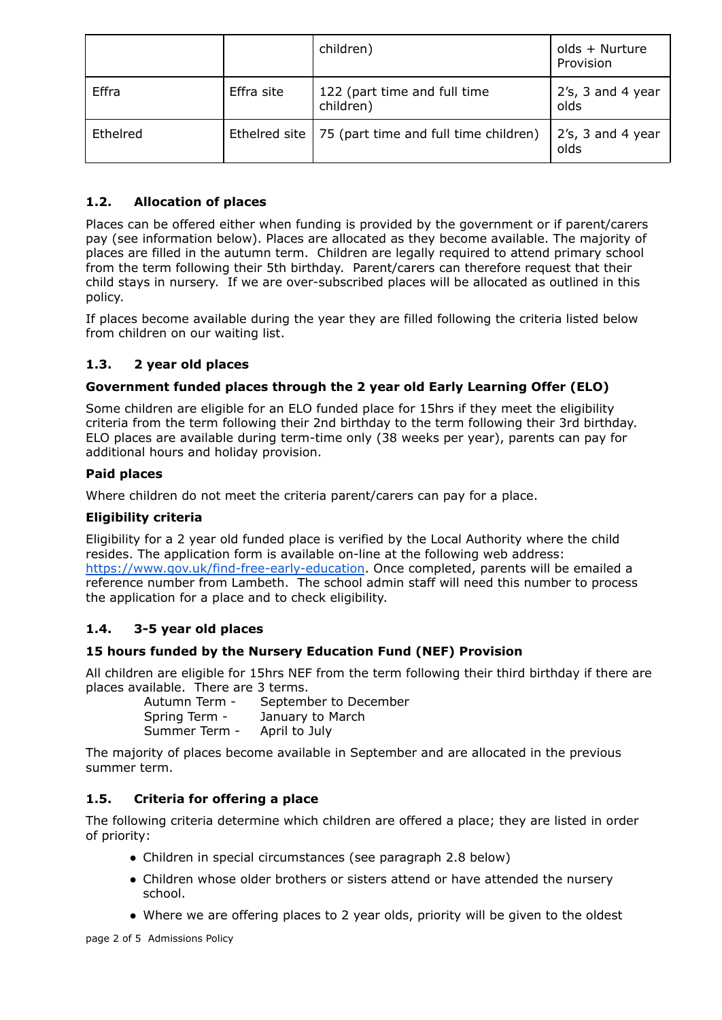|          |            | children)                                             | olds + Nurture<br>Provision  |
|----------|------------|-------------------------------------------------------|------------------------------|
| Effra    | Effra site | 122 (part time and full time<br>children)             | 2's, 3 and 4 year<br>olds    |
| Ethelred |            | Ethelred site   75 (part time and full time children) | $2's$ , 3 and 4 year<br>olds |

# **1.2. Allocation of places**

Places can be offered either when funding is provided by the government or if parent/carers pay (see information below). Places are allocated as they become available. The majority of places are filled in the autumn term. Children are legally required to attend primary school from the term following their 5th birthday. Parent/carers can therefore request that their child stays in nursery. If we are over-subscribed places will be allocated as outlined in this policy.

If places become available during the year they are filled following the criteria listed below from children on our waiting list.

# **1.3. 2 year old places**

# **Government funded places through the 2 year old Early Learning Offer (ELO)**

Some children are eligible for an ELO funded place for 15hrs if they meet the eligibility criteria from the term following their 2nd birthday to the term following their 3rd birthday. ELO places are available during term-time only (38 weeks per year), parents can pay for additional hours and holiday provision.

## **Paid places**

Where children do not meet the criteria parent/carers can pay for a place.

## **Eligibility criteria**

Eligibility for a 2 year old funded place is verified by the Local Authority where the child resides. The application form is available on-line at the following web address: <https://www.gov.uk/find-free-early-education>. Once completed, parents will be emailed a reference number from Lambeth. The school admin staff will need this number to process the application for a place and to check eligibility.

# **1.4. 3-5 year old places**

# **15 hours funded by the Nursery Education Fund (NEF) Provision**

All children are eligible for 15hrs NEF from the term following their third birthday if there are places available. There are 3 terms.

| Autumn Term - | September to December |
|---------------|-----------------------|
| Spring Term - | January to March      |
| Summer Term - | April to July         |

The majority of places become available in September and are allocated in the previous summer term.

# **1.5. Criteria for offering a place**

The following criteria determine which children are offered a place; they are listed in order of priority:

- Children in special circumstances (see paragraph 2.8 below)
- Children whose older brothers or sisters attend or have attended the nursery school.
- Where we are offering places to 2 year olds, priority will be given to the oldest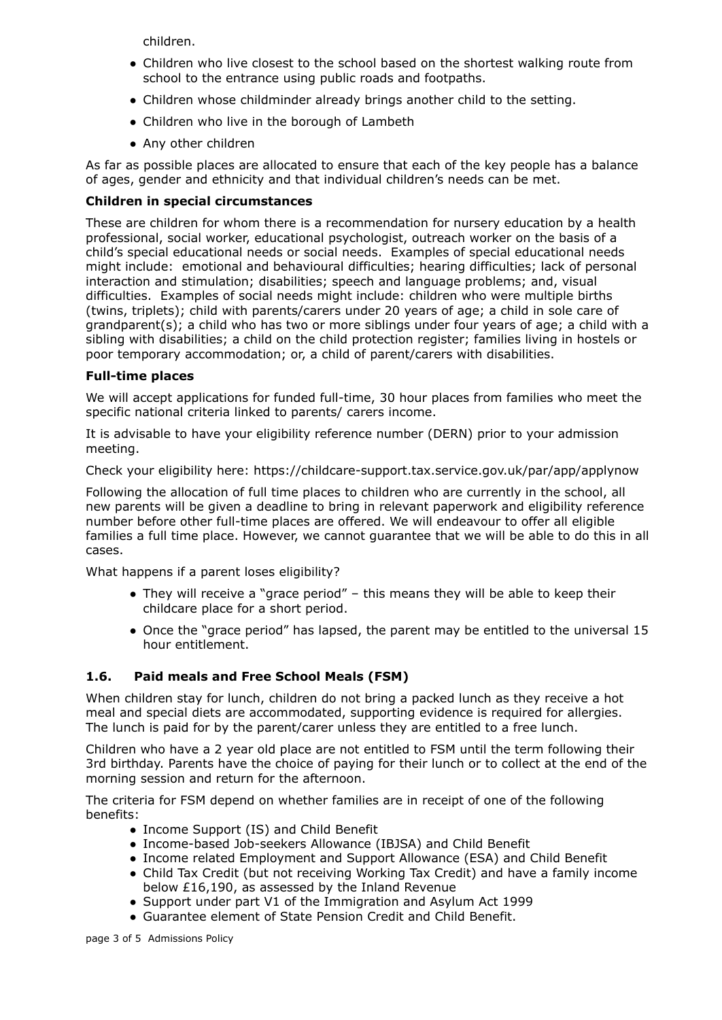children.

- Children who live closest to the school based on the shortest walking route from school to the entrance using public roads and footpaths.
- Children whose childminder already brings another child to the setting.
- Children who live in the borough of Lambeth
- Any other children

As far as possible places are allocated to ensure that each of the key people has a balance of ages, gender and ethnicity and that individual children's needs can be met.

#### **Children in special circumstances**

These are children for whom there is a recommendation for nursery education by a health professional, social worker, educational psychologist, outreach worker on the basis of a child's special educational needs or social needs. Examples of special educational needs might include: emotional and behavioural difficulties; hearing difficulties; lack of personal interaction and stimulation; disabilities; speech and language problems; and, visual difficulties. Examples of social needs might include: children who were multiple births (twins, triplets); child with parents/carers under 20 years of age; a child in sole care of grandparent(s); a child who has two or more siblings under four years of age; a child with a sibling with disabilities; a child on the child protection register; families living in hostels or poor temporary accommodation; or, a child of parent/carers with disabilities.

#### **Full-time places**

We will accept applications for funded full-time, 30 hour places from families who meet the specific national criteria linked to parents/ carers income.

It is advisable to have your eligibility reference number (DERN) prior to your admission meeting.

Check your eligibility here: <https://childcare-support.tax.service.gov.uk/par/app/applynow>

Following the allocation of full time places to children who are currently in the school, all new parents will be given a deadline to bring in relevant paperwork and eligibility reference number before other full-time places are offered. We will endeavour to offer all eligible families a full time place. However, we cannot guarantee that we will be able to do this in all cases.

What happens if a parent loses eligibility?

- They will receive a "grace period" this means they will be able to keep their childcare place for a short period.
- Once the "grace period" has lapsed, the parent may be entitled to the universal 15 hour entitlement.

## **1.6. Paid meals and Free School Meals (FSM)**

When children stay for lunch, children do not bring a packed lunch as they receive a hot meal and special diets are accommodated, supporting evidence is required for allergies. The lunch is paid for by the parent/carer unless they are entitled to a free lunch.

Children who have a 2 year old place are not entitled to FSM until the term following their 3rd birthday. Parents have the choice of paying for their lunch or to collect at the end of the morning session and return for the afternoon.

The criteria for FSM depend on whether families are in receipt of one of the following benefits:

- Income Support (IS) and Child Benefit
- Income-based Job-seekers Allowance (IBJSA) and Child Benefit
- Income related Employment and Support Allowance (ESA) and Child Benefit
- Child Tax Credit (but not receiving Working Tax Credit) and have a family income below £16,190, as assessed by the Inland Revenue
- Support under part V1 of the Immigration and Asylum Act 1999
- Guarantee element of State Pension Credit and Child Benefit.

page 3 of 5 Admissions Policy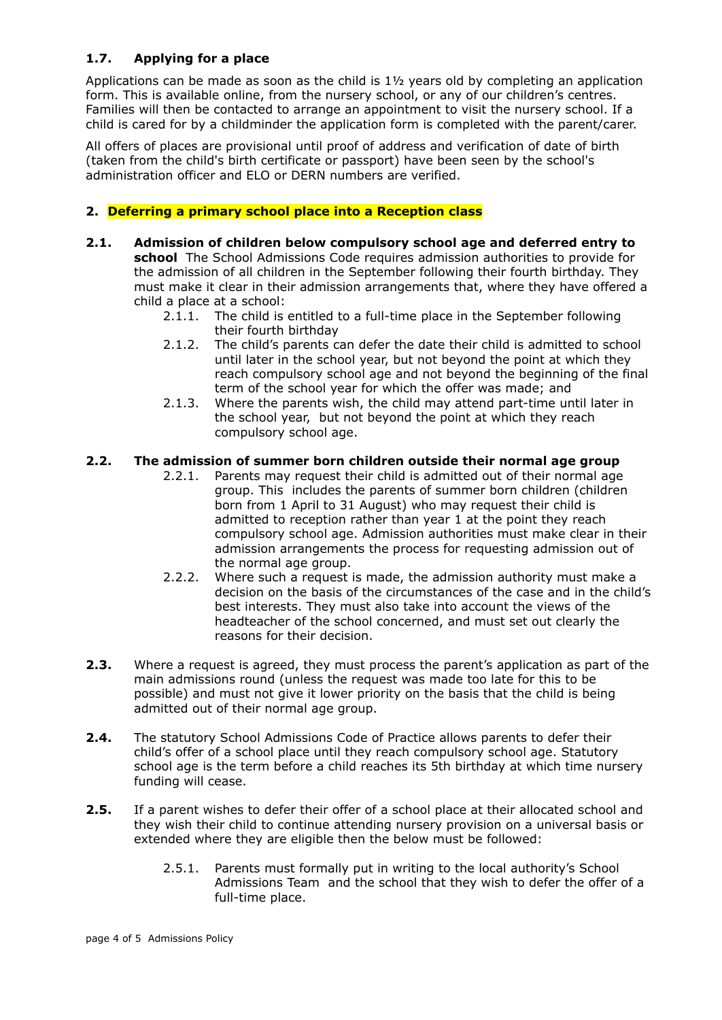## **1.7. Applying for a place**

Applications can be made as soon as the child is 1½ years old by completing an application form. This is available online, from the nursery school, or any of our children's centres. Families will then be contacted to arrange an appointment to visit the nursery school. If a child is cared for by a childminder the application form is completed with the parent/carer.

All offers of places are provisional until proof of address and verification of date of birth (taken from the child's birth certificate or passport) have been seen by the school's administration officer and ELO or DERN numbers are verified.

#### **2. Deferring a primary school place into a Reception class**

- **2.1. Admission of children below compulsory school age and deferred entry to school** The School Admissions Code requires admission authorities to provide for the admission of all children in the September following their fourth birthday. They must make it clear in their admission arrangements that, where they have offered a child a place at a school:
	- 2.1.1. The child is entitled to a full-time place in the September following their fourth birthday
	- 2.1.2. The child's parents can defer the date their child is admitted to school until later in the school year, but not beyond the point at which they reach compulsory school age and not beyond the beginning of the final term of the school year for which the offer was made; and
	- 2.1.3. Where the parents wish, the child may attend part-time until later in the school year, but not beyond the point at which they reach compulsory school age.

#### **2.2. The admission of summer born children outside their normal age group**

- 2.2.1. Parents may request their child is admitted out of their normal age group. This includes the parents of summer born children (children born from 1 April to 31 August) who may request their child is admitted to reception rather than year 1 at the point they reach compulsory school age. Admission authorities must make clear in their admission arrangements the process for requesting admission out of the normal age group.
- 2.2.2. Where such a request is made, the admission authority must make a decision on the basis of the circumstances of the case and in the child's best interests. They must also take into account the views of the headteacher of the school concerned, and must set out clearly the reasons for their decision.
- **2.3.** Where a request is agreed, they must process the parent's application as part of the main admissions round (unless the request was made too late for this to be possible) and must not give it lower priority on the basis that the child is being admitted out of their normal age group.
- **2.4.** The statutory School Admissions Code of Practice allows parents to defer their child's offer of a school place until they reach compulsory school age. Statutory school age is the term before a child reaches its 5th birthday at which time nursery funding will cease.
- **2.5.** If a parent wishes to defer their offer of a school place at their allocated school and they wish their child to continue attending nursery provision on a universal basis or extended where they are eligible then the below must be followed:
	- 2.5.1. Parents must formally put in writing to the local authority's School Admissions Team and the school that they wish to defer the offer of a full-time place.